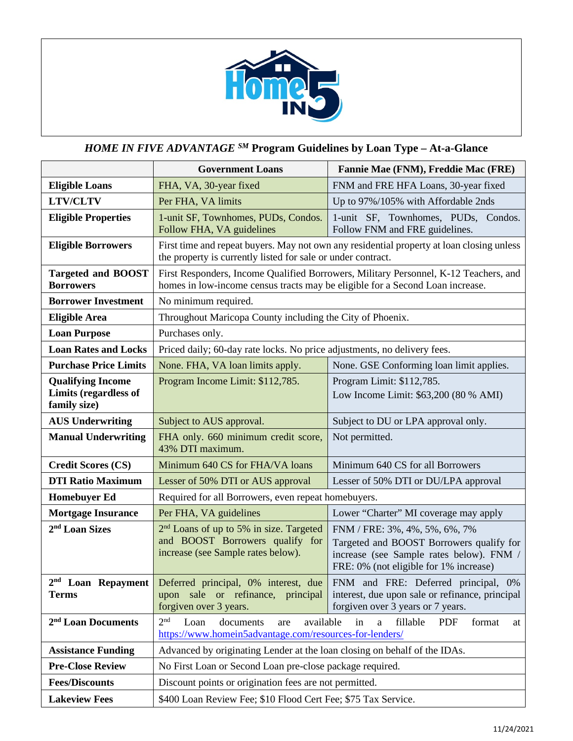

## *HOME IN FIVE ADVANTAGE SM* **Program Guidelines by Loan Type – At-a-Glance**

|                                                                   | <b>Government Loans</b><br>Fannie Mae (FNM), Freddie Mac (FRE)                                                                                            |                                                                                                                                                                 |  |  |
|-------------------------------------------------------------------|-----------------------------------------------------------------------------------------------------------------------------------------------------------|-----------------------------------------------------------------------------------------------------------------------------------------------------------------|--|--|
| <b>Eligible Loans</b>                                             | FHA, VA, 30-year fixed                                                                                                                                    | FNM and FRE HFA Loans, 30-year fixed                                                                                                                            |  |  |
| <b>LTV/CLTV</b>                                                   | Per FHA, VA limits                                                                                                                                        | Up to 97%/105% with Affordable 2nds                                                                                                                             |  |  |
| <b>Eligible Properties</b>                                        | 1-unit SF, Townhomes, PUDs, Condos.<br>Follow FHA, VA guidelines                                                                                          | 1-unit SF, Townhomes, PUDs, Condos.<br>Follow FNM and FRE guidelines.                                                                                           |  |  |
| <b>Eligible Borrowers</b>                                         | First time and repeat buyers. May not own any residential property at loan closing unless<br>the property is currently listed for sale or under contract. |                                                                                                                                                                 |  |  |
| <b>Targeted and BOOST</b><br><b>Borrowers</b>                     | homes in low-income census tracts may be eligible for a Second Loan increase.                                                                             | First Responders, Income Qualified Borrowers, Military Personnel, K-12 Teachers, and                                                                            |  |  |
| <b>Borrower Investment</b>                                        | No minimum required.                                                                                                                                      |                                                                                                                                                                 |  |  |
| <b>Eligible Area</b>                                              | Throughout Maricopa County including the City of Phoenix.                                                                                                 |                                                                                                                                                                 |  |  |
| <b>Loan Purpose</b>                                               | Purchases only.                                                                                                                                           |                                                                                                                                                                 |  |  |
| <b>Loan Rates and Locks</b>                                       | Priced daily; 60-day rate locks. No price adjustments, no delivery fees.                                                                                  |                                                                                                                                                                 |  |  |
| <b>Purchase Price Limits</b>                                      | None. FHA, VA loan limits apply.                                                                                                                          | None. GSE Conforming loan limit applies.                                                                                                                        |  |  |
| <b>Qualifying Income</b><br>Limits (regardless of<br>family size) | Program Income Limit: \$112,785.                                                                                                                          | Program Limit: \$112,785.<br>Low Income Limit: \$63,200 (80 % AMI)                                                                                              |  |  |
| <b>AUS Underwriting</b>                                           | Subject to AUS approval.                                                                                                                                  | Subject to DU or LPA approval only.                                                                                                                             |  |  |
| <b>Manual Underwriting</b>                                        | FHA only. 660 minimum credit score,<br>43% DTI maximum.                                                                                                   | Not permitted.                                                                                                                                                  |  |  |
| <b>Credit Scores (CS)</b>                                         | Minimum 640 CS for FHA/VA loans                                                                                                                           | Minimum 640 CS for all Borrowers                                                                                                                                |  |  |
| <b>DTI Ratio Maximum</b>                                          | Lesser of 50% DTI or AUS approval                                                                                                                         | Lesser of 50% DTI or DU/LPA approval                                                                                                                            |  |  |
| <b>Homebuyer Ed</b>                                               | Required for all Borrowers, even repeat homebuyers.                                                                                                       |                                                                                                                                                                 |  |  |
| <b>Mortgage Insurance</b>                                         | Per FHA, VA guidelines                                                                                                                                    | Lower "Charter" MI coverage may apply                                                                                                                           |  |  |
| 2 <sup>nd</sup> Loan Sizes                                        | 2 <sup>nd</sup> Loans of up to 5% in size. Targeted<br>and BOOST Borrowers qualify for<br>increase (see Sample rates below).                              | FNM / FRE: 3%, 4%, 5%, 6%, 7%<br>Targeted and BOOST Borrowers qualify for<br>increase (see Sample rates below). FNM /<br>FRE: 0% (not eligible for 1% increase) |  |  |
| $2^{\rm nd}$ Loan Repayment<br><b>Terms</b>                       | Deferred principal, 0% interest, due<br>upon sale or refinance, principal<br>forgiven over 3 years.                                                       | FNM and FRE: Deferred principal, 0%<br>interest, due upon sale or refinance, principal<br>forgiven over 3 years or 7 years.                                     |  |  |
| 2 <sup>nd</sup> Loan Documents                                    | 2 <sup>nd</sup><br>Loan<br>available<br>documents<br>are<br>https://www.homein5advantage.com/resources-for-lenders/                                       | fillable<br>in<br><b>PDF</b><br>format<br>a<br>at                                                                                                               |  |  |
| <b>Assistance Funding</b>                                         | Advanced by originating Lender at the loan closing on behalf of the IDAs.                                                                                 |                                                                                                                                                                 |  |  |
| <b>Pre-Close Review</b>                                           | No First Loan or Second Loan pre-close package required.                                                                                                  |                                                                                                                                                                 |  |  |
| <b>Fees/Discounts</b>                                             | Discount points or origination fees are not permitted.                                                                                                    |                                                                                                                                                                 |  |  |
| <b>Lakeview Fees</b>                                              | \$400 Loan Review Fee; \$10 Flood Cert Fee; \$75 Tax Service.                                                                                             |                                                                                                                                                                 |  |  |